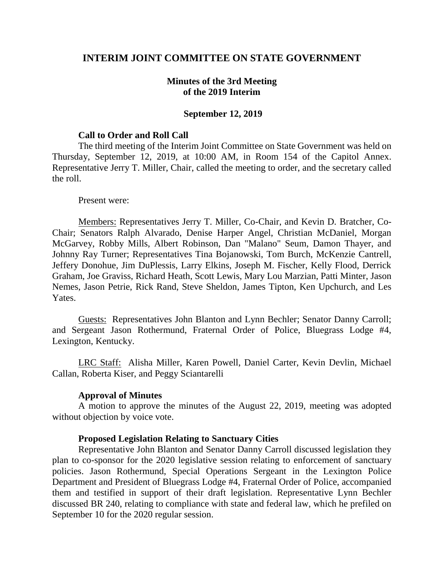## **INTERIM JOINT COMMITTEE ON STATE GOVERNMENT**

## **Minutes of the 3rd Meeting of the 2019 Interim**

## **September 12, 2019**

## **Call to Order and Roll Call**

The third meeting of the Interim Joint Committee on State Government was held on Thursday, September 12, 2019, at 10:00 AM, in Room 154 of the Capitol Annex. Representative Jerry T. Miller, Chair, called the meeting to order, and the secretary called the roll.

#### Present were:

Members: Representatives Jerry T. Miller, Co-Chair, and Kevin D. Bratcher, Co-Chair; Senators Ralph Alvarado, Denise Harper Angel, Christian McDaniel, Morgan McGarvey, Robby Mills, Albert Robinson, Dan "Malano" Seum, Damon Thayer, and Johnny Ray Turner; Representatives Tina Bojanowski, Tom Burch, McKenzie Cantrell, Jeffery Donohue, Jim DuPlessis, Larry Elkins, Joseph M. Fischer, Kelly Flood, Derrick Graham, Joe Graviss, Richard Heath, Scott Lewis, Mary Lou Marzian, Patti Minter, Jason Nemes, Jason Petrie, Rick Rand, Steve Sheldon, James Tipton, Ken Upchurch, and Les Yates.

Guests: Representatives John Blanton and Lynn Bechler; Senator Danny Carroll; and Sergeant Jason Rothermund, Fraternal Order of Police, Bluegrass Lodge #4, Lexington, Kentucky.

LRC Staff: Alisha Miller, Karen Powell, Daniel Carter, Kevin Devlin, Michael Callan, Roberta Kiser, and Peggy Sciantarelli

## **Approval of Minutes**

A motion to approve the minutes of the August 22, 2019, meeting was adopted without objection by voice vote.

## **Proposed Legislation Relating to Sanctuary Cities**

Representative John Blanton and Senator Danny Carroll discussed legislation they plan to co-sponsor for the 2020 legislative session relating to enforcement of sanctuary policies. Jason Rothermund, Special Operations Sergeant in the Lexington Police Department and President of Bluegrass Lodge #4, Fraternal Order of Police, accompanied them and testified in support of their draft legislation. Representative Lynn Bechler discussed BR 240, relating to compliance with state and federal law, which he prefiled on September 10 for the 2020 regular session.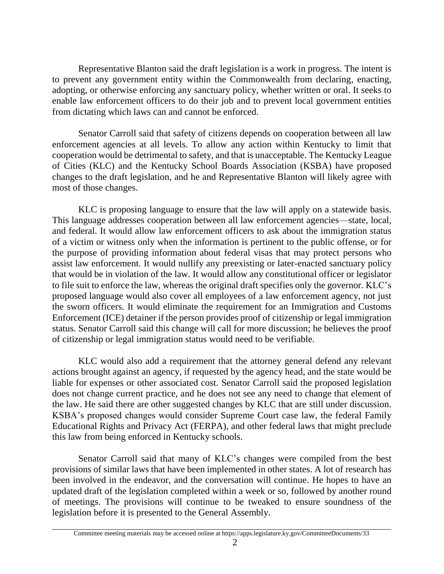Representative Blanton said the draft legislation is a work in progress. The intent is to prevent any government entity within the Commonwealth from declaring, enacting, adopting, or otherwise enforcing any sanctuary policy, whether written or oral. It seeks to enable law enforcement officers to do their job and to prevent local government entities from dictating which laws can and cannot be enforced.

Senator Carroll said that safety of citizens depends on cooperation between all law enforcement agencies at all levels. To allow any action within Kentucky to limit that cooperation would be detrimental to safety, and that is unacceptable. The Kentucky League of Cities (KLC) and the Kentucky School Boards Association (KSBA) have proposed changes to the draft legislation, and he and Representative Blanton will likely agree with most of those changes.

KLC is proposing language to ensure that the law will apply on a statewide basis. This language addresses cooperation between all law enforcement agencies—state, local, and federal. It would allow law enforcement officers to ask about the immigration status of a victim or witness only when the information is pertinent to the public offense, or for the purpose of providing information about federal visas that may protect persons who assist law enforcement. It would nullify any preexisting or later-enacted sanctuary policy that would be in violation of the law. It would allow any constitutional officer or legislator to file suit to enforce the law, whereas the original draft specifies only the governor. KLC's proposed language would also cover all employees of a law enforcement agency, not just the sworn officers. It would eliminate the requirement for an Immigration and Customs Enforcement (ICE) detainer if the person provides proof of citizenship or legal immigration status. Senator Carroll said this change will call for more discussion; he believes the proof of citizenship or legal immigration status would need to be verifiable.

KLC would also add a requirement that the attorney general defend any relevant actions brought against an agency, if requested by the agency head, and the state would be liable for expenses or other associated cost. Senator Carroll said the proposed legislation does not change current practice, and he does not see any need to change that element of the law. He said there are other suggested changes by KLC that are still under discussion. KSBA's proposed changes would consider Supreme Court case law, the federal Family Educational Rights and Privacy Act (FERPA), and other federal laws that might preclude this law from being enforced in Kentucky schools.

Senator Carroll said that many of KLC's changes were compiled from the best provisions of similar laws that have been implemented in other states. A lot of research has been involved in the endeavor, and the conversation will continue. He hopes to have an updated draft of the legislation completed within a week or so, followed by another round of meetings. The provisions will continue to be tweaked to ensure soundness of the legislation before it is presented to the General Assembly.

Committee meeting materials may be accessed online at https://apps.legislature.ky.gov/CommitteeDocuments/33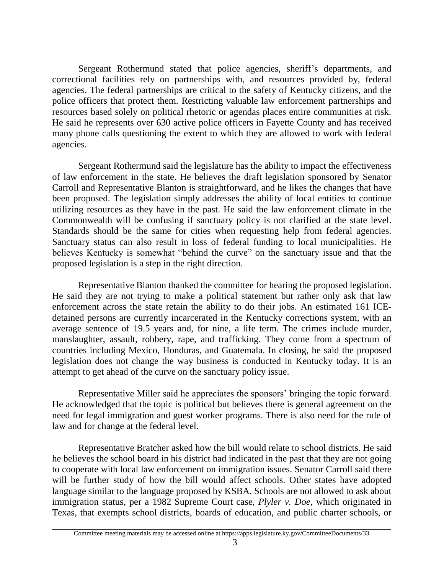Sergeant Rothermund stated that police agencies, sheriff's departments, and correctional facilities rely on partnerships with, and resources provided by, federal agencies. The federal partnerships are critical to the safety of Kentucky citizens, and the police officers that protect them. Restricting valuable law enforcement partnerships and resources based solely on political rhetoric or agendas places entire communities at risk. He said he represents over 630 active police officers in Fayette County and has received many phone calls questioning the extent to which they are allowed to work with federal agencies.

Sergeant Rothermund said the legislature has the ability to impact the effectiveness of law enforcement in the state. He believes the draft legislation sponsored by Senator Carroll and Representative Blanton is straightforward, and he likes the changes that have been proposed. The legislation simply addresses the ability of local entities to continue utilizing resources as they have in the past. He said the law enforcement climate in the Commonwealth will be confusing if sanctuary policy is not clarified at the state level. Standards should be the same for cities when requesting help from federal agencies. Sanctuary status can also result in loss of federal funding to local municipalities. He believes Kentucky is somewhat "behind the curve" on the sanctuary issue and that the proposed legislation is a step in the right direction.

Representative Blanton thanked the committee for hearing the proposed legislation. He said they are not trying to make a political statement but rather only ask that law enforcement across the state retain the ability to do their jobs. An estimated 161 ICEdetained persons are currently incarcerated in the Kentucky corrections system, with an average sentence of 19.5 years and, for nine, a life term. The crimes include murder, manslaughter, assault, robbery, rape, and trafficking. They come from a spectrum of countries including Mexico, Honduras, and Guatemala. In closing, he said the proposed legislation does not change the way business is conducted in Kentucky today. It is an attempt to get ahead of the curve on the sanctuary policy issue.

Representative Miller said he appreciates the sponsors' bringing the topic forward. He acknowledged that the topic is political but believes there is general agreement on the need for legal immigration and guest worker programs. There is also need for the rule of law and for change at the federal level.

Representative Bratcher asked how the bill would relate to school districts. He said he believes the school board in his district had indicated in the past that they are not going to cooperate with local law enforcement on immigration issues. Senator Carroll said there will be further study of how the bill would affect schools. Other states have adopted language similar to the language proposed by KSBA. Schools are not allowed to ask about immigration status, per a 1982 Supreme Court case, *Plyler v. Doe*, which originated in Texas, that exempts school districts, boards of education, and public charter schools, or

Committee meeting materials may be accessed online at https://apps.legislature.ky.gov/CommitteeDocuments/33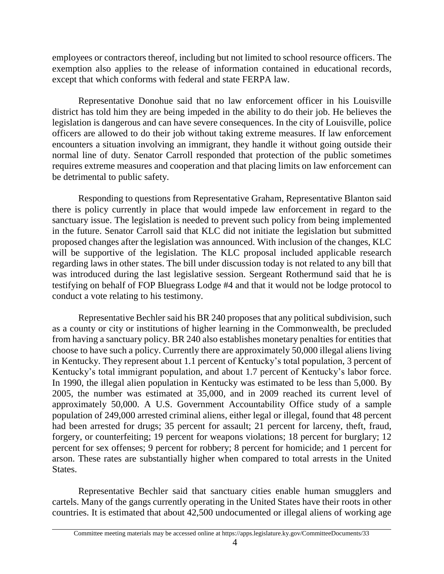employees or contractors thereof, including but not limited to school resource officers. The exemption also applies to the release of information contained in educational records, except that which conforms with federal and state FERPA law.

Representative Donohue said that no law enforcement officer in his Louisville district has told him they are being impeded in the ability to do their job. He believes the legislation is dangerous and can have severe consequences. In the city of Louisville, police officers are allowed to do their job without taking extreme measures. If law enforcement encounters a situation involving an immigrant, they handle it without going outside their normal line of duty. Senator Carroll responded that protection of the public sometimes requires extreme measures and cooperation and that placing limits on law enforcement can be detrimental to public safety.

Responding to questions from Representative Graham, Representative Blanton said there is policy currently in place that would impede law enforcement in regard to the sanctuary issue. The legislation is needed to prevent such policy from being implemented in the future. Senator Carroll said that KLC did not initiate the legislation but submitted proposed changes after the legislation was announced. With inclusion of the changes, KLC will be supportive of the legislation. The KLC proposal included applicable research regarding laws in other states. The bill under discussion today is not related to any bill that was introduced during the last legislative session. Sergeant Rothermund said that he is testifying on behalf of FOP Bluegrass Lodge #4 and that it would not be lodge protocol to conduct a vote relating to his testimony.

Representative Bechler said his BR 240 proposesthat any political subdivision, such as a county or city or institutions of higher learning in the Commonwealth, be precluded from having a sanctuary policy. BR 240 also establishes monetary penalties for entities that choose to have such a policy. Currently there are approximately 50,000 illegal aliens living in Kentucky. They represent about 1.1 percent of Kentucky's total population, 3 percent of Kentucky's total immigrant population, and about 1.7 percent of Kentucky's labor force. In 1990, the illegal alien population in Kentucky was estimated to be less than 5,000. By 2005, the number was estimated at 35,000, and in 2009 reached its current level of approximately 50,000. A U.S. Government Accountability Office study of a sample population of 249,000 arrested criminal aliens, either legal or illegal, found that 48 percent had been arrested for drugs; 35 percent for assault; 21 percent for larceny, theft, fraud, forgery, or counterfeiting; 19 percent for weapons violations; 18 percent for burglary; 12 percent for sex offenses; 9 percent for robbery; 8 percent for homicide; and 1 percent for arson. These rates are substantially higher when compared to total arrests in the United States.

Representative Bechler said that sanctuary cities enable human smugglers and cartels. Many of the gangs currently operating in the United States have their roots in other countries. It is estimated that about 42,500 undocumented or illegal aliens of working age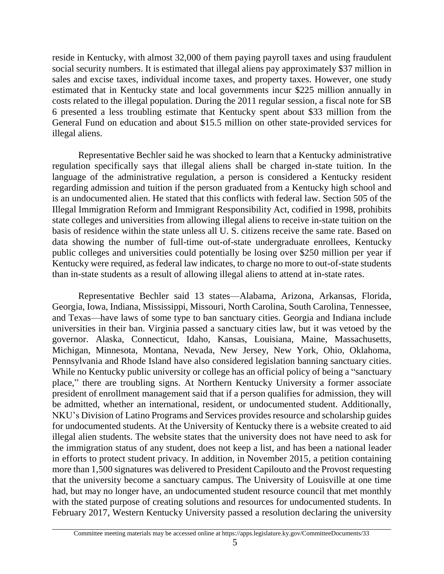reside in Kentucky, with almost 32,000 of them paying payroll taxes and using fraudulent social security numbers. It is estimated that illegal aliens pay approximately \$37 million in sales and excise taxes, individual income taxes, and property taxes. However, one study estimated that in Kentucky state and local governments incur \$225 million annually in costs related to the illegal population. During the 2011 regular session, a fiscal note for SB 6 presented a less troubling estimate that Kentucky spent about \$33 million from the General Fund on education and about \$15.5 million on other state-provided services for illegal aliens.

Representative Bechler said he was shocked to learn that a Kentucky administrative regulation specifically says that illegal aliens shall be charged in-state tuition. In the language of the administrative regulation, a person is considered a Kentucky resident regarding admission and tuition if the person graduated from a Kentucky high school and is an undocumented alien. He stated that this conflicts with federal law. Section 505 of the Illegal Immigration Reform and Immigrant Responsibility Act, codified in 1998, prohibits state colleges and universities from allowing illegal aliens to receive in-state tuition on the basis of residence within the state unless all U. S. citizens receive the same rate. Based on data showing the number of full-time out-of-state undergraduate enrollees, Kentucky public colleges and universities could potentially be losing over \$250 million per year if Kentucky were required, as federal law indicates, to charge no more to out-of-state students than in-state students as a result of allowing illegal aliens to attend at in-state rates.

Representative Bechler said 13 states—Alabama, Arizona, Arkansas, Florida, Georgia, Iowa, Indiana, Mississippi, Missouri, North Carolina, South Carolina, Tennessee, and Texas—have laws of some type to ban sanctuary cities. Georgia and Indiana include universities in their ban. Virginia passed a sanctuary cities law, but it was vetoed by the governor. Alaska, Connecticut, Idaho, Kansas, Louisiana, Maine, Massachusetts, Michigan, Minnesota, Montana, Nevada, New Jersey, New York, Ohio, Oklahoma, Pennsylvania and Rhode Island have also considered legislation banning sanctuary cities. While no Kentucky public university or college has an official policy of being a "sanctuary" place," there are troubling signs. At Northern Kentucky University a former associate president of enrollment management said that if a person qualifies for admission, they will be admitted, whether an international, resident, or undocumented student. Additionally, NKU's Division of Latino Programs and Services provides resource and scholarship guides for undocumented students. At the University of Kentucky there is a website created to aid illegal alien students. The website states that the university does not have need to ask for the immigration status of any student, does not keep a list, and has been a national leader in efforts to protect student privacy. In addition, in November 2015, a petition containing more than 1,500 signatures was delivered to President Capilouto and the Provost requesting that the university become a sanctuary campus. The University of Louisville at one time had, but may no longer have, an undocumented student resource council that met monthly with the stated purpose of creating solutions and resources for undocumented students. In February 2017, Western Kentucky University passed a resolution declaring the university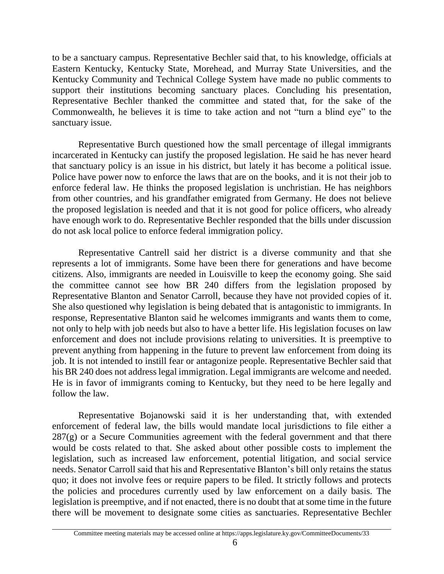to be a sanctuary campus. Representative Bechler said that, to his knowledge, officials at Eastern Kentucky, Kentucky State, Morehead, and Murray State Universities, and the Kentucky Community and Technical College System have made no public comments to support their institutions becoming sanctuary places. Concluding his presentation, Representative Bechler thanked the committee and stated that, for the sake of the Commonwealth, he believes it is time to take action and not "turn a blind eye" to the sanctuary issue.

Representative Burch questioned how the small percentage of illegal immigrants incarcerated in Kentucky can justify the proposed legislation. He said he has never heard that sanctuary policy is an issue in his district, but lately it has become a political issue. Police have power now to enforce the laws that are on the books, and it is not their job to enforce federal law. He thinks the proposed legislation is unchristian. He has neighbors from other countries, and his grandfather emigrated from Germany. He does not believe the proposed legislation is needed and that it is not good for police officers, who already have enough work to do. Representative Bechler responded that the bills under discussion do not ask local police to enforce federal immigration policy.

Representative Cantrell said her district is a diverse community and that she represents a lot of immigrants. Some have been there for generations and have become citizens. Also, immigrants are needed in Louisville to keep the economy going. She said the committee cannot see how BR 240 differs from the legislation proposed by Representative Blanton and Senator Carroll, because they have not provided copies of it. She also questioned why legislation is being debated that is antagonistic to immigrants. In response, Representative Blanton said he welcomes immigrants and wants them to come, not only to help with job needs but also to have a better life. His legislation focuses on law enforcement and does not include provisions relating to universities. It is preemptive to prevent anything from happening in the future to prevent law enforcement from doing its job. It is not intended to instill fear or antagonize people. Representative Bechler said that his BR 240 does not address legal immigration. Legal immigrants are welcome and needed. He is in favor of immigrants coming to Kentucky, but they need to be here legally and follow the law.

Representative Bojanowski said it is her understanding that, with extended enforcement of federal law, the bills would mandate local jurisdictions to file either a  $287(g)$  or a Secure Communities agreement with the federal government and that there would be costs related to that. She asked about other possible costs to implement the legislation, such as increased law enforcement, potential litigation, and social service needs. Senator Carroll said that his and Representative Blanton's bill only retains the status quo; it does not involve fees or require papers to be filed. It strictly follows and protects the policies and procedures currently used by law enforcement on a daily basis. The legislation is preemptive, and if not enacted, there is no doubt that at some time in the future there will be movement to designate some cities as sanctuaries. Representative Bechler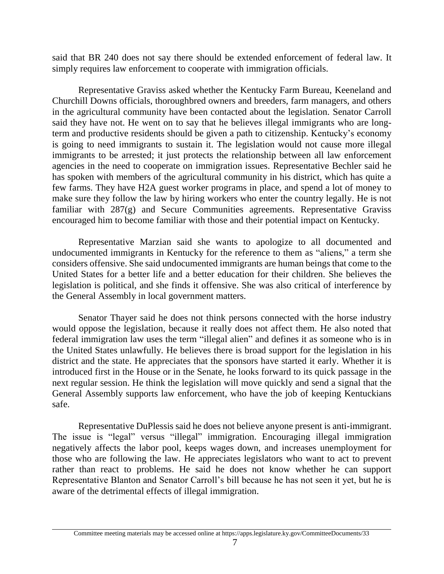said that BR 240 does not say there should be extended enforcement of federal law. It simply requires law enforcement to cooperate with immigration officials.

Representative Graviss asked whether the Kentucky Farm Bureau, Keeneland and Churchill Downs officials, thoroughbred owners and breeders, farm managers, and others in the agricultural community have been contacted about the legislation. Senator Carroll said they have not. He went on to say that he believes illegal immigrants who are longterm and productive residents should be given a path to citizenship. Kentucky's economy is going to need immigrants to sustain it. The legislation would not cause more illegal immigrants to be arrested; it just protects the relationship between all law enforcement agencies in the need to cooperate on immigration issues. Representative Bechler said he has spoken with members of the agricultural community in his district, which has quite a few farms. They have H2A guest worker programs in place, and spend a lot of money to make sure they follow the law by hiring workers who enter the country legally. He is not familiar with 287(g) and Secure Communities agreements. Representative Graviss encouraged him to become familiar with those and their potential impact on Kentucky.

Representative Marzian said she wants to apologize to all documented and undocumented immigrants in Kentucky for the reference to them as "aliens," a term she considers offensive. She said undocumented immigrants are human beings that come to the United States for a better life and a better education for their children. She believes the legislation is political, and she finds it offensive. She was also critical of interference by the General Assembly in local government matters.

Senator Thayer said he does not think persons connected with the horse industry would oppose the legislation, because it really does not affect them. He also noted that federal immigration law uses the term "illegal alien" and defines it as someone who is in the United States unlawfully. He believes there is broad support for the legislation in his district and the state. He appreciates that the sponsors have started it early. Whether it is introduced first in the House or in the Senate, he looks forward to its quick passage in the next regular session. He think the legislation will move quickly and send a signal that the General Assembly supports law enforcement, who have the job of keeping Kentuckians safe.

Representative DuPlessis said he does not believe anyone present is anti-immigrant. The issue is "legal" versus "illegal" immigration. Encouraging illegal immigration negatively affects the labor pool, keeps wages down, and increases unemployment for those who are following the law. He appreciates legislators who want to act to prevent rather than react to problems. He said he does not know whether he can support Representative Blanton and Senator Carroll's bill because he has not seen it yet, but he is aware of the detrimental effects of illegal immigration.

Committee meeting materials may be accessed online at https://apps.legislature.ky.gov/CommitteeDocuments/33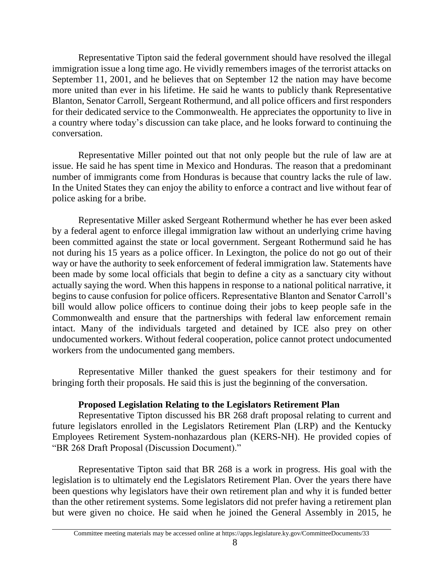Representative Tipton said the federal government should have resolved the illegal immigration issue a long time ago. He vividly remembers images of the terrorist attacks on September 11, 2001, and he believes that on September 12 the nation may have become more united than ever in his lifetime. He said he wants to publicly thank Representative Blanton, Senator Carroll, Sergeant Rothermund, and all police officers and first responders for their dedicated service to the Commonwealth. He appreciates the opportunity to live in a country where today's discussion can take place, and he looks forward to continuing the conversation.

Representative Miller pointed out that not only people but the rule of law are at issue. He said he has spent time in Mexico and Honduras. The reason that a predominant number of immigrants come from Honduras is because that country lacks the rule of law. In the United States they can enjoy the ability to enforce a contract and live without fear of police asking for a bribe.

Representative Miller asked Sergeant Rothermund whether he has ever been asked by a federal agent to enforce illegal immigration law without an underlying crime having been committed against the state or local government. Sergeant Rothermund said he has not during his 15 years as a police officer. In Lexington, the police do not go out of their way or have the authority to seek enforcement of federal immigration law. Statements have been made by some local officials that begin to define a city as a sanctuary city without actually saying the word. When this happens in response to a national political narrative, it begins to cause confusion for police officers. Representative Blanton and Senator Carroll's bill would allow police officers to continue doing their jobs to keep people safe in the Commonwealth and ensure that the partnerships with federal law enforcement remain intact. Many of the individuals targeted and detained by ICE also prey on other undocumented workers. Without federal cooperation, police cannot protect undocumented workers from the undocumented gang members.

Representative Miller thanked the guest speakers for their testimony and for bringing forth their proposals. He said this is just the beginning of the conversation.

# **Proposed Legislation Relating to the Legislators Retirement Plan**

Representative Tipton discussed his BR 268 draft proposal relating to current and future legislators enrolled in the Legislators Retirement Plan (LRP) and the Kentucky Employees Retirement System-nonhazardous plan (KERS-NH). He provided copies of "BR 268 Draft Proposal (Discussion Document)."

Representative Tipton said that BR 268 is a work in progress. His goal with the legislation is to ultimately end the Legislators Retirement Plan. Over the years there have been questions why legislators have their own retirement plan and why it is funded better than the other retirement systems. Some legislators did not prefer having a retirement plan but were given no choice. He said when he joined the General Assembly in 2015, he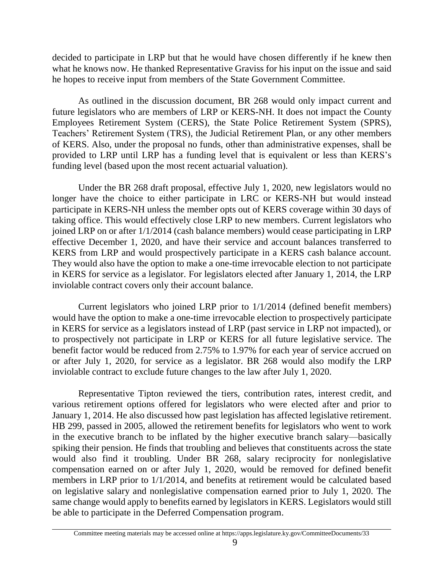decided to participate in LRP but that he would have chosen differently if he knew then what he knows now. He thanked Representative Graviss for his input on the issue and said he hopes to receive input from members of the State Government Committee.

As outlined in the discussion document, BR 268 would only impact current and future legislators who are members of LRP or KERS-NH. It does not impact the County Employees Retirement System (CERS), the State Police Retirement System (SPRS), Teachers' Retirement System (TRS), the Judicial Retirement Plan, or any other members of KERS. Also, under the proposal no funds, other than administrative expenses, shall be provided to LRP until LRP has a funding level that is equivalent or less than KERS's funding level (based upon the most recent actuarial valuation).

Under the BR 268 draft proposal, effective July 1, 2020, new legislators would no longer have the choice to either participate in LRC or KERS-NH but would instead participate in KERS-NH unless the member opts out of KERS coverage within 30 days of taking office. This would effectively close LRP to new members. Current legislators who joined LRP on or after 1/1/2014 (cash balance members) would cease participating in LRP effective December 1, 2020, and have their service and account balances transferred to KERS from LRP and would prospectively participate in a KERS cash balance account. They would also have the option to make a one-time irrevocable election to not participate in KERS for service as a legislator. For legislators elected after January 1, 2014, the LRP inviolable contract covers only their account balance.

Current legislators who joined LRP prior to 1/1/2014 (defined benefit members) would have the option to make a one-time irrevocable election to prospectively participate in KERS for service as a legislators instead of LRP (past service in LRP not impacted), or to prospectively not participate in LRP or KERS for all future legislative service. The benefit factor would be reduced from 2.75% to 1.97% for each year of service accrued on or after July 1, 2020, for service as a legislator. BR 268 would also modify the LRP inviolable contract to exclude future changes to the law after July 1, 2020.

Representative Tipton reviewed the tiers, contribution rates, interest credit, and various retirement options offered for legislators who were elected after and prior to January 1, 2014. He also discussed how past legislation has affected legislative retirement. HB 299, passed in 2005, allowed the retirement benefits for legislators who went to work in the executive branch to be inflated by the higher executive branch salary—basically spiking their pension. He finds that troubling and believes that constituents across the state would also find it troubling. Under BR 268, salary reciprocity for nonlegislative compensation earned on or after July 1, 2020, would be removed for defined benefit members in LRP prior to 1/1/2014, and benefits at retirement would be calculated based on legislative salary and nonlegislative compensation earned prior to July 1, 2020. The same change would apply to benefits earned by legislators in KERS. Legislators would still be able to participate in the Deferred Compensation program.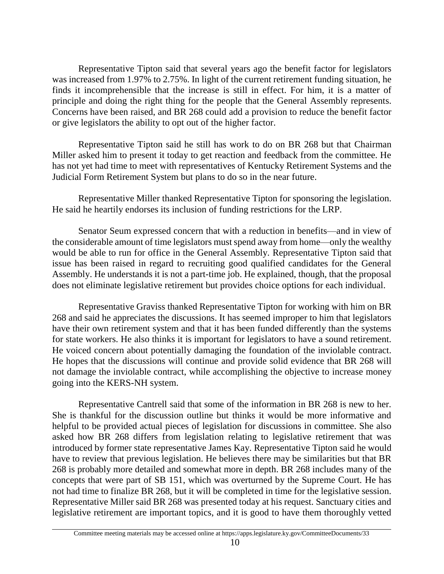Representative Tipton said that several years ago the benefit factor for legislators was increased from 1.97% to 2.75%. In light of the current retirement funding situation, he finds it incomprehensible that the increase is still in effect. For him, it is a matter of principle and doing the right thing for the people that the General Assembly represents. Concerns have been raised, and BR 268 could add a provision to reduce the benefit factor or give legislators the ability to opt out of the higher factor.

Representative Tipton said he still has work to do on BR 268 but that Chairman Miller asked him to present it today to get reaction and feedback from the committee. He has not yet had time to meet with representatives of Kentucky Retirement Systems and the Judicial Form Retirement System but plans to do so in the near future.

Representative Miller thanked Representative Tipton for sponsoring the legislation. He said he heartily endorses its inclusion of funding restrictions for the LRP.

Senator Seum expressed concern that with a reduction in benefits—and in view of the considerable amount of time legislators must spend away from home—only the wealthy would be able to run for office in the General Assembly. Representative Tipton said that issue has been raised in regard to recruiting good qualified candidates for the General Assembly. He understands it is not a part-time job. He explained, though, that the proposal does not eliminate legislative retirement but provides choice options for each individual.

Representative Graviss thanked Representative Tipton for working with him on BR 268 and said he appreciates the discussions. It has seemed improper to him that legislators have their own retirement system and that it has been funded differently than the systems for state workers. He also thinks it is important for legislators to have a sound retirement. He voiced concern about potentially damaging the foundation of the inviolable contract. He hopes that the discussions will continue and provide solid evidence that BR 268 will not damage the inviolable contract, while accomplishing the objective to increase money going into the KERS-NH system.

Representative Cantrell said that some of the information in BR 268 is new to her. She is thankful for the discussion outline but thinks it would be more informative and helpful to be provided actual pieces of legislation for discussions in committee. She also asked how BR 268 differs from legislation relating to legislative retirement that was introduced by former state representative James Kay. Representative Tipton said he would have to review that previous legislation. He believes there may be similarities but that BR 268 is probably more detailed and somewhat more in depth. BR 268 includes many of the concepts that were part of SB 151, which was overturned by the Supreme Court. He has not had time to finalize BR 268, but it will be completed in time for the legislative session. Representative Miller said BR 268 was presented today at his request. Sanctuary cities and legislative retirement are important topics, and it is good to have them thoroughly vetted

Committee meeting materials may be accessed online at https://apps.legislature.ky.gov/CommitteeDocuments/33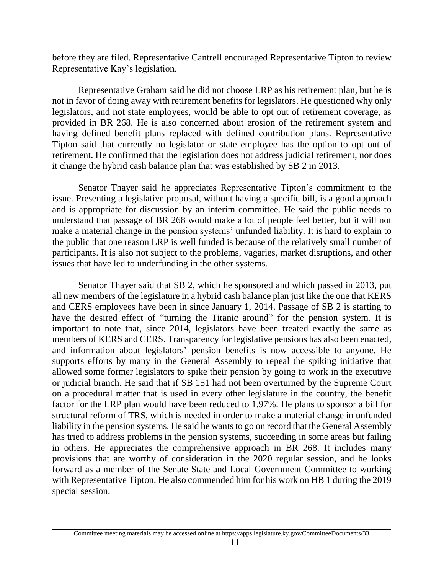before they are filed. Representative Cantrell encouraged Representative Tipton to review Representative Kay's legislation.

Representative Graham said he did not choose LRP as his retirement plan, but he is not in favor of doing away with retirement benefits for legislators. He questioned why only legislators, and not state employees, would be able to opt out of retirement coverage, as provided in BR 268. He is also concerned about erosion of the retirement system and having defined benefit plans replaced with defined contribution plans. Representative Tipton said that currently no legislator or state employee has the option to opt out of retirement. He confirmed that the legislation does not address judicial retirement, nor does it change the hybrid cash balance plan that was established by SB 2 in 2013.

Senator Thayer said he appreciates Representative Tipton's commitment to the issue. Presenting a legislative proposal, without having a specific bill, is a good approach and is appropriate for discussion by an interim committee. He said the public needs to understand that passage of BR 268 would make a lot of people feel better, but it will not make a material change in the pension systems' unfunded liability. It is hard to explain to the public that one reason LRP is well funded is because of the relatively small number of participants. It is also not subject to the problems, vagaries, market disruptions, and other issues that have led to underfunding in the other systems.

Senator Thayer said that SB 2, which he sponsored and which passed in 2013, put all new members of the legislature in a hybrid cash balance plan just like the one that KERS and CERS employees have been in since January 1, 2014. Passage of SB 2 is starting to have the desired effect of "turning the Titanic around" for the pension system. It is important to note that, since 2014, legislators have been treated exactly the same as members of KERS and CERS. Transparency for legislative pensions has also been enacted, and information about legislators' pension benefits is now accessible to anyone. He supports efforts by many in the General Assembly to repeal the spiking initiative that allowed some former legislators to spike their pension by going to work in the executive or judicial branch. He said that if SB 151 had not been overturned by the Supreme Court on a procedural matter that is used in every other legislature in the country, the benefit factor for the LRP plan would have been reduced to 1.97%. He plans to sponsor a bill for structural reform of TRS, which is needed in order to make a material change in unfunded liability in the pension systems. He said he wants to go on record that the General Assembly has tried to address problems in the pension systems, succeeding in some areas but failing in others. He appreciates the comprehensive approach in BR 268. It includes many provisions that are worthy of consideration in the 2020 regular session, and he looks forward as a member of the Senate State and Local Government Committee to working with Representative Tipton. He also commended him for his work on HB 1 during the 2019 special session.

Committee meeting materials may be accessed online at https://apps.legislature.ky.gov/CommitteeDocuments/33